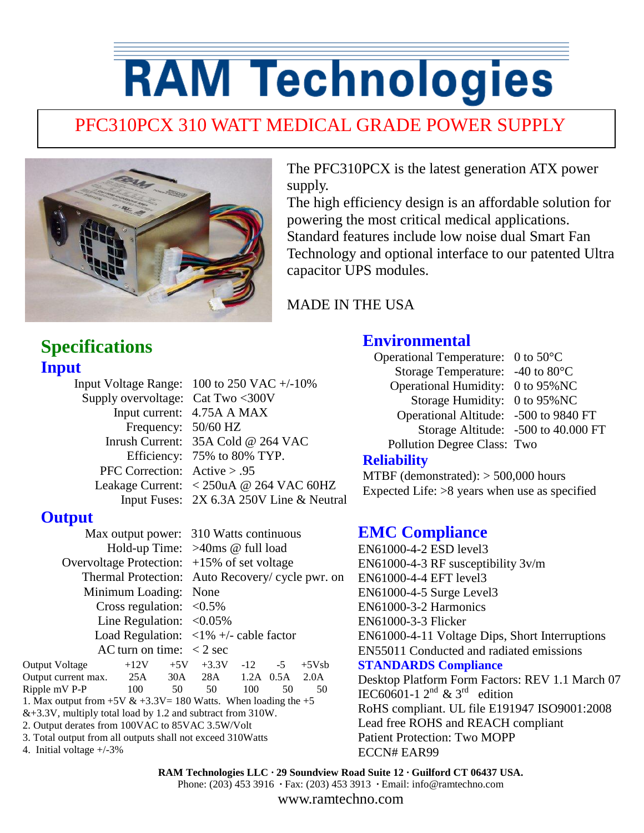# **RAM Technologies**

### PFC310PCX 310 WATT MEDICAL GRADE POWER SUPPLY



The PFC310PCX is the latest generation ATX power supply.

The high efficiency design is an affordable solution for powering the most critical medical applications. Standard features include low noise dual Smart Fan Technology and optional interface to our patented Ultra capacitor UPS modules.

MADE IN THE USA

#### **Specifications Input**

|                                   | Input Voltage Range: $100$ to $250$ VAC $+/-10\%$                                      |
|-----------------------------------|----------------------------------------------------------------------------------------|
| Supply overvoltage: Cat Two <300V |                                                                                        |
|                                   | Input current: 4.75A A MAX                                                             |
| Frequency: 50/60 HZ               |                                                                                        |
|                                   | Inrush Current: 35A Cold @ 264 VAC                                                     |
|                                   | Efficiency: 75% to 80% TYP.                                                            |
| PFC Correction: $Active > .95$    |                                                                                        |
|                                   | Leakage Current: $\langle 250 \text{uA} \otimes 264 \text{ VAC } 60 \text{HZ} \rangle$ |
|                                   | Input Fuses: 2X 6.3A 250V Line & Neutral                                               |
|                                   |                                                                                        |

#### **Output**

 Max output power: 310 Watts continuous Hold-up Time: >40ms @ full load Overvoltage Protection: +15% of set voltage Thermal Protection: Auto Recovery/ cycle pwr. on Minimum Loading: None Cross regulation:  $\langle 0.5\%$ Line Regulation:  $\langle 0.05\%$ Load Regulation:  $\langle 1\% + \rangle$ - cable factor AC turn on time:  $\langle 2 \text{ sec} \rangle$ 

Output Voltage  $+12V$   $+5V$   $+3.3V$   $-12$   $-5$   $+5Vsb$ Output current max. 25A 30A 28A 1.2A 0.5A 2.0A Ripple mV P-P 100 50 50 100 50 50 1. Max output from  $+5V & +3.3V = 180$  Watts. When loading the  $+5$  $&+3.3V$ , multiply total load by 1.2 and subtract from 310W. 2. Output derates from 100VAC to 85VAC 3.5W/Volt 3. Total output from all outputs shall not exceed 310Watts

4. Initial voltage +/-3%

#### **Environmental**

Operational Temperature: 0 to 50°C Storage Temperature: -40 to 80°C Operational Humidity: 0 to 95%NC Storage Humidity: 0 to 95%NC Operational Altitude: -500 to 9840 FT Storage Altitude: -500 to 40.000 FT Pollution Degree Class: Two

#### **Reliability**

MTBF (demonstrated): > 500,000 hours Expected Life: >8 years when use as specified

#### **EMC Compliance**

EN61000-4-2 ESD level3 EN61000-4-3 RF susceptibility 3v/m EN61000-4-4 EFT level3 EN61000-4-5 Surge Level3 EN61000-3-2 Harmonics EN61000-3-3 Flicker EN61000-4-11 Voltage Dips, Short Interruptions EN55011 Conducted and radiated emissions **STANDARDS Compliance** Desktop Platform Form Factors: REV 1.1 March 07 IEC60601-1  $2^{nd}$  & 3<sup>rd</sup> edition RoHS compliant. UL file E191947 ISO9001:2008 Lead free ROHS and REACH compliant Patient Protection: Two MOPP ECCN# EAR99

**RAM Technologies LLC · 29 Soundview Road Suite 12 · Guilford CT 06437 USA.**

Phone: (203) 453 3916 **·** Fax: (203) 453 3913 **·** Email: info@ramtechno.com

www.ramtechno.com